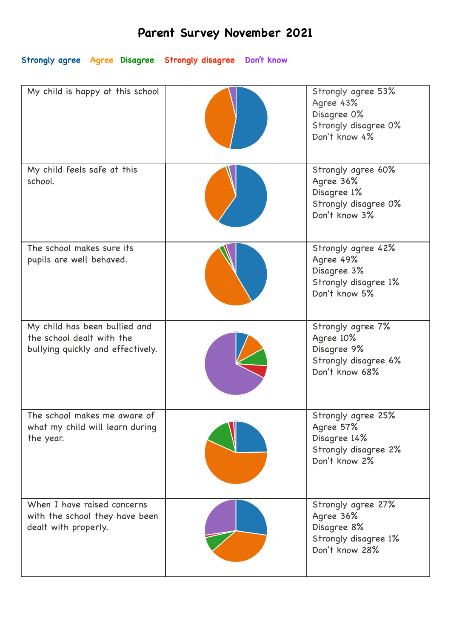## **Parent Survey November 2021**

**Strongly agree Agree Disagree Strongly disagree Don't know**

| My child is happy at this school                                                                | Strongly agree 53%<br>Agree 43%<br>Disagree 0%<br>Strongly disagree 0%<br>Don't know 4%  |
|-------------------------------------------------------------------------------------------------|------------------------------------------------------------------------------------------|
| My child feels safe at this<br>school.                                                          | Strongly agree 60%<br>Agree 36%<br>Disagree 1%<br>Strongly disagree 0%<br>Don't know 3%  |
| The school makes sure its<br>pupils are well behaved.                                           | Strongly agree 42%<br>Agree 49%<br>Disagree 3%<br>Strongly disagree 1%<br>Don't know 5%  |
| My child has been bullied and<br>the school dealt with the<br>bullying quickly and effectively. | Strongly agree 7%<br>Agree 10%<br>Disagree 9%<br>Strongly disagree 6%<br>Don't know 68%  |
| The school makes me aware of<br>what my child will learn during<br>the year.                    | Strongly agree 25%<br>Agree 57%<br>Disagree 14%<br>Strongly disagree 2%<br>Don't know 2% |
| When I have raised concerns<br>with the school they have been<br>dealt with properly.           | Strongly agree 27%<br>Agree 36%<br>Disagree 8%<br>Strongly disagree 1%<br>Don't know 28% |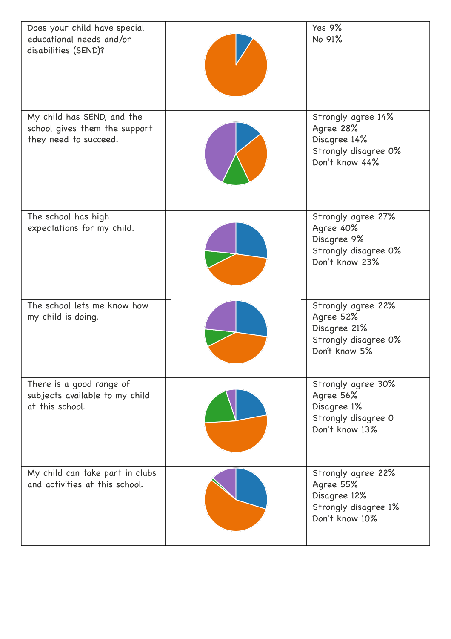| Does your child have special<br>educational needs and/or<br>disabilities (SEND)?     | <b>Yes 9%</b><br>No 91%                                                                   |
|--------------------------------------------------------------------------------------|-------------------------------------------------------------------------------------------|
| My child has SEND, and the<br>school gives them the support<br>they need to succeed. | Strongly agree 14%<br>Agree 28%<br>Disagree 14%<br>Strongly disagree 0%<br>Don't know 44% |
| The school has high<br>expectations for my child.                                    | Strongly agree 27%<br>Agree 40%<br>Disagree 9%<br>Strongly disagree 0%<br>Don't know 23%  |
| The school lets me know how<br>my child is doing.                                    | Strongly agree 22%<br>Agree 52%<br>Disagree 21%<br>Strongly disagree 0%<br>Don't know 5%  |
| There is a good range of<br>subjects available to my child<br>at this school.        | Strongly agree 30%<br>Agree 56%<br>Disagree 1%<br>Strongly disagree 0<br>Don't know 13%   |
| My child can take part in clubs<br>and activities at this school.                    | Strongly agree 22%<br>Agree 55%<br>Disagree 12%<br>Strongly disagree 1%<br>Don't know 10% |